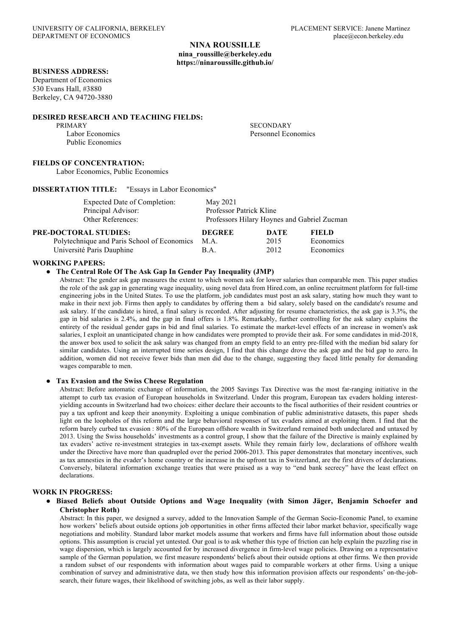# **NINA ROUSSILLE nina\_roussille@berkeley.edu https://ninaroussille.github.io/**

# **BUSINESS ADDRESS:**

Department of Economics 530 Evans Hall, #3880 Berkeley, CA 94720-3880

#### **DESIRED RESEARCH AND TEACHING FIELDS:**

PRIMARY SECONDARY Public Economics

Labor Economics Personnel Economics

### **FIELDS OF CONCENTRATION:**

Labor Economics, Public Economics

# **DISSERTATION TITLE:** "Essays in Labor Economics"

| Expected Date of Completion:                | May 2021                                    |      |              |
|---------------------------------------------|---------------------------------------------|------|--------------|
| Principal Advisor:                          | Professor Patrick Kline                     |      |              |
| Other References:                           | Professors Hilary Hoynes and Gabriel Zucman |      |              |
| PRE-DOCTORAL STUDIES:                       | <b>DEGREE</b>                               | DATE | <b>FIELD</b> |
| Polytechnique and Paris School of Economics | M.A.                                        | 2015 | Economics    |

Université Paris Dauphine B.A. 2012 Economics

#### **WORKING PAPERS:**

#### ● **The Central Role Of The Ask Gap In Gender Pay Inequality (JMP)**

Abstract: The gender ask gap measures the extent to which women ask for lower salaries than comparable men. This paper studies the role of the ask gap in generating wage inequality, using novel data from Hired.com, an online recruitment platform for full-time engineering jobs in the United States. To use the platform, job candidates must post an ask salary, stating how much they want to make in their next job. Firms then apply to candidates by offering them a bid salary, solely based on the candidate's resume and ask salary. If the candidate is hired, a final salary is recorded. After adjusting for resume characteristics, the ask gap is 3.3%, the gap in bid salaries is 2.4%, and the gap in final offers is 1.8%. Remarkably, further controlling for the ask salary explains the entirety of the residual gender gaps in bid and final salaries. To estimate the market-level effects of an increase in women's ask salaries, I exploit an unanticipated change in how candidates were prompted to provide their ask. For some candidates in mid-2018, the answer box used to solicit the ask salary was changed from an empty field to an entry pre-filled with the median bid salary for similar candidates. Using an interrupted time series design, I find that this change drove the ask gap and the bid gap to zero. In addition, women did not receive fewer bids than men did due to the change, suggesting they faced little penalty for demanding wages comparable to men.

#### ● **Tax Evasion and the Swiss Cheese Regulation**

Abstract: Before automatic exchange of information, the 2005 Savings Tax Directive was the most far-ranging initiative in the attempt to curb tax evasion of European households in Switzerland. Under this program, European tax evaders holding interestyielding accounts in Switzerland had two choices: either declare their accounts to the fiscal authorities of their resident countries or pay a tax upfront and keep their anonymity. Exploiting a unique combination of public administrative datasets, this paper sheds light on the loopholes of this reform and the large behavioral responses of tax evaders aimed at exploiting them. I find that the reform barely curbed tax evasion : 80% of the European offshore wealth in Switzerland remained both undeclared and untaxed by 2013. Using the Swiss households' investments as a control group, I show that the failure of the Directive is mainly explained by tax evaders' active re-investment strategies in tax-exempt assets. While they remain fairly low, declarations of offshore wealth under the Directive have more than quadrupled over the period 2006-2013. This paper demonstrates that monetary incentives, such as tax amnesties in the evader's home country or the increase in the upfront tax in Switzerland, are the first drivers of declarations. Conversely, bilateral information exchange treaties that were praised as a way to "end bank secrecy" have the least effect on declarations.

### **WORK IN PROGRESS:**

#### ● **Biased Beliefs about Outside Options and Wage Inequality (with Simon Jäger, Benjamin Schoefer and Christopher Roth)**

Abstract: In this paper, we designed a survey, added to the Innovation Sample of the German Socio-Economic Panel, to examine how workers' beliefs about outside options job opportunities in other firms affected their labor market behavior, specifically wage negotiations and mobility. Standard labor market models assume that workers and firms have full information about those outside options. This assumption is crucial yet untested. Our goal is to ask whether this type of friction can help explain the puzzling rise in wage dispersion, which is largely accounted for by increased divergence in firm-level wage policies. Drawing on a representative sample of the German population, we first measure respondents' beliefs about their outside options at other firms. We then provide a random subset of our respondents with information about wages paid to comparable workers at other firms. Using a unique combination of survey and administrative data, we then study how this information provision affects our respondents' on-the-jobsearch, their future wages, their likelihood of switching jobs, as well as their labor supply.